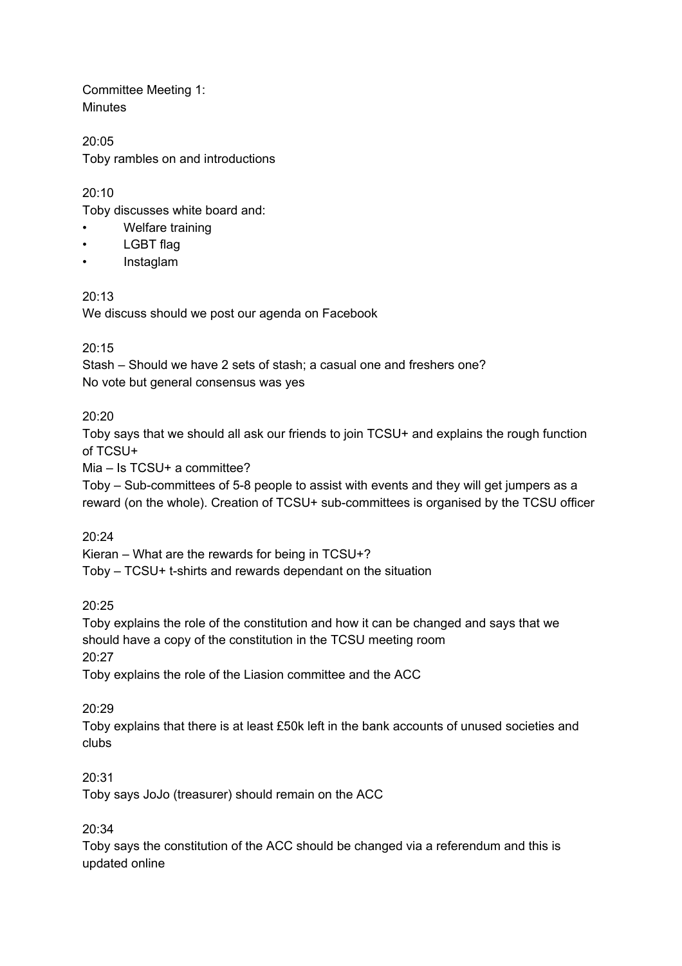Committee Meeting 1: **Minutes** 

20:05 Toby rambles on and introductions

20:10

Toby discusses white board and:

- Welfare training
- LGBT flag
- Instaglam

## $20.13$

We discuss should we post our agenda on Facebook

#### $20.15$

Stash – Should we have 2 sets of stash; a casual one and freshers one? No vote but general consensus was yes

## 20:20

Toby says that we should all ask our friends to join TCSU+ and explains the rough function of TCSU+

Mia – Is TCSU+ a committee?

Toby – Sub-committees of 5-8 people to assist with events and they will get jumpers as a reward (on the whole). Creation of TCSU+ sub-committees is organised by the TCSU officer

20:24

Kieran – What are the rewards for being in TCSU+?

Toby – TCSU+ t-shirts and rewards dependant on the situation

## 20:25

Toby explains the role of the constitution and how it can be changed and says that we should have a copy of the constitution in the TCSU meeting room

20:27

Toby explains the role of the Liasion committee and the ACC

## 20:29

Toby explains that there is at least £50k left in the bank accounts of unused societies and clubs

#### 20:31

Toby says JoJo (treasurer) should remain on the ACC

## 20:34

Toby says the constitution of the ACC should be changed via a referendum and this is updated online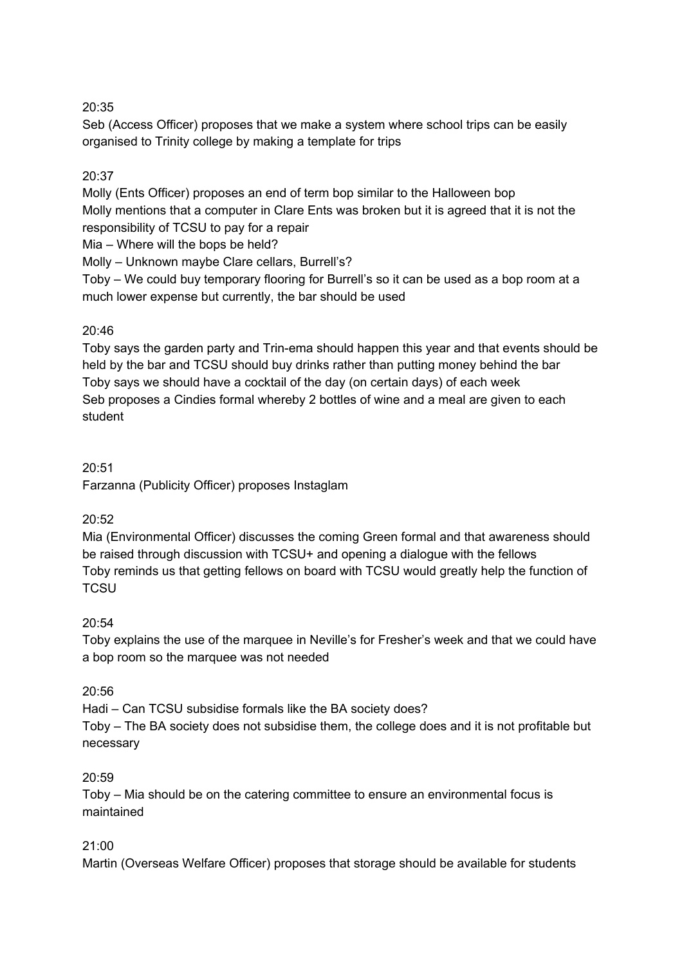# 20:35

Seb (Access Officer) proposes that we make a system where school trips can be easily organised to Trinity college by making a template for trips

# 20:37

Molly (Ents Officer) proposes an end of term bop similar to the Halloween bop Molly mentions that a computer in Clare Ents was broken but it is agreed that it is not the responsibility of TCSU to pay for a repair

Mia – Where will the bops be held?

Molly – Unknown maybe Clare cellars, Burrell's?

Toby – We could buy temporary flooring for Burrell's so it can be used as a bop room at a much lower expense but currently, the bar should be used

# 20:46

Toby says the garden party and Trin-ema should happen this year and that events should be held by the bar and TCSU should buy drinks rather than putting money behind the bar Toby says we should have a cocktail of the day (on certain days) of each week Seb proposes a Cindies formal whereby 2 bottles of wine and a meal are given to each student

## 20:51

Farzanna (Publicity Officer) proposes Instaglam

## 20:52

Mia (Environmental Officer) discusses the coming Green formal and that awareness should be raised through discussion with TCSU+ and opening a dialogue with the fellows Toby reminds us that getting fellows on board with TCSU would greatly help the function of **TCSU** 

## 20:54

Toby explains the use of the marquee in Neville's for Fresher's week and that we could have a bop room so the marquee was not needed

## 20:56

Hadi – Can TCSU subsidise formals like the BA society does?

Toby – The BA society does not subsidise them, the college does and it is not profitable but necessary

#### 20:59

Toby – Mia should be on the catering committee to ensure an environmental focus is maintained

## 21:00

Martin (Overseas Welfare Officer) proposes that storage should be available for students